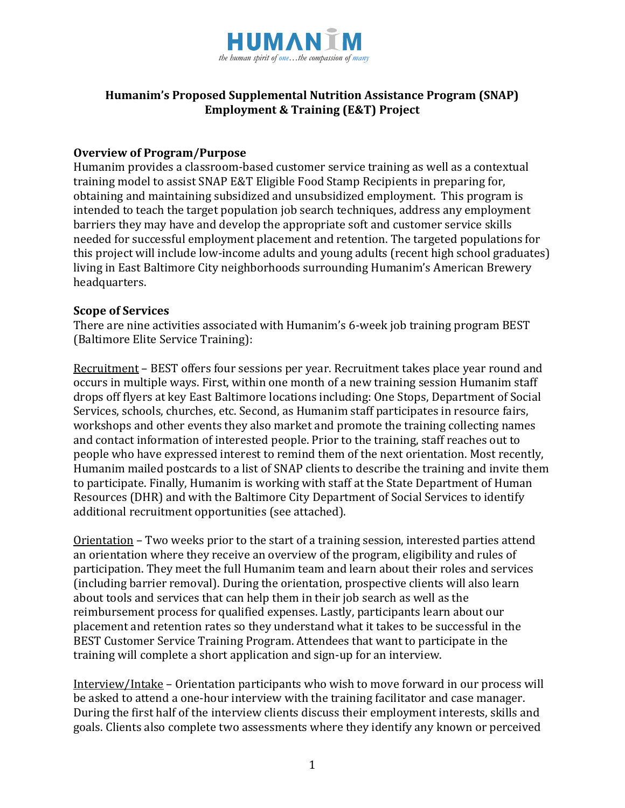

# **Humanim's Proposed Supplemental Nutrition Assistance Program (SNAP) Employment & Training (E&T) Project**

#### **Overview of Program/Purpose**

Humanim provides a classroom-based customer service training as well as a contextual training model to assist SNAP E&T Eligible Food Stamp Recipients in preparing for, obtaining and maintaining subsidized and unsubsidized employment. This program is intended to teach the target population job search techniques, address any employment barriers they may have and develop the appropriate soft and customer service skills needed for successful employment placement and retention. The targeted populations for this project will include low-income adults and young adults (recent high school graduates) living in East Baltimore City neighborhoods surrounding Humanim's American Brewery headquarters.

#### **Scope of Services**

There are nine activities associated with Humanim's 6-week job training program BEST (Baltimore Elite Service Training):

Recruitment – BEST offers four sessions per year. Recruitment takes place year round and occurs in multiple ways. First, within one month of a new training session Humanim staff drops off flyers at key East Baltimore locations including: One Stops, Department of Social Services, schools, churches, etc. Second, as Humanim staff participates in resource fairs, workshops and other events they also market and promote the training collecting names and contact information of interested people. Prior to the training, staff reaches out to people who have expressed interest to remind them of the next orientation. Most recently, Humanim mailed postcards to a list of SNAP clients to describe the training and invite them to participate. Finally, Humanim is working with staff at the State Department of Human Resources (DHR) and with the Baltimore City Department of Social Services to identify additional recruitment opportunities (see attached).

Orientation – Two weeks prior to the start of a training session, interested parties attend an orientation where they receive an overview of the program, eligibility and rules of participation. They meet the full Humanim team and learn about their roles and services (including barrier removal). During the orientation, prospective clients will also learn about tools and services that can help them in their job search as well as the reimbursement process for qualified expenses. Lastly, participants learn about our placement and retention rates so they understand what it takes to be successful in the BEST Customer Service Training Program. Attendees that want to participate in the training will complete a short application and sign-up for an interview.

Interview/Intake – Orientation participants who wish to move forward in our process will be asked to attend a one-hour interview with the training facilitator and case manager. During the first half of the interview clients discuss their employment interests, skills and goals. Clients also complete two assessments where they identify any known or perceived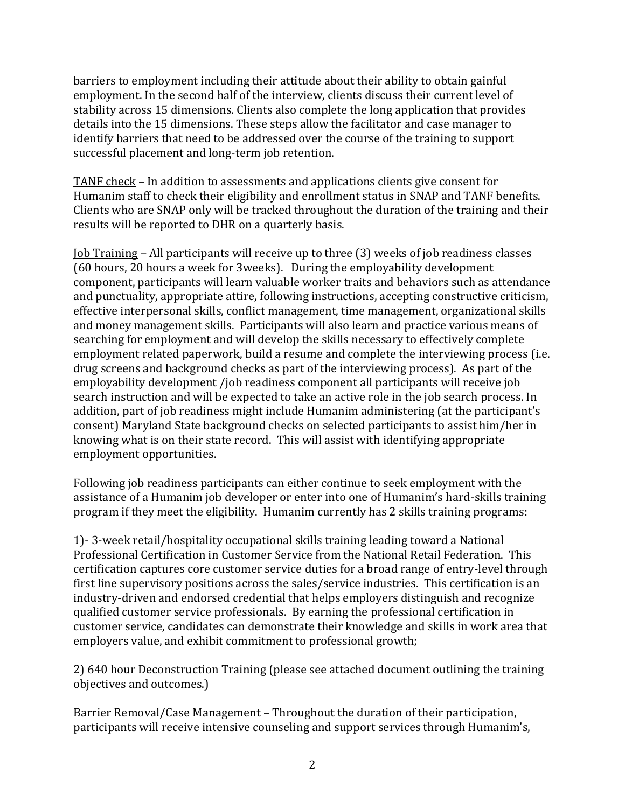barriers to employment including their attitude about their ability to obtain gainful employment. In the second half of the interview, clients discuss their current level of stability across 15 dimensions. Clients also complete the long application that provides details into the 15 dimensions. These steps allow the facilitator and case manager to identify barriers that need to be addressed over the course of the training to support successful placement and long-term job retention.

TANF check – In addition to assessments and applications clients give consent for Humanim staff to check their eligibility and enrollment status in SNAP and TANF benefits. Clients who are SNAP only will be tracked throughout the duration of the training and their results will be reported to DHR on a quarterly basis.

Job Training – All participants will receive up to three (3) weeks of job readiness classes (60 hours, 20 hours a week for 3weeks). During the employability development component, participants will learn valuable worker traits and behaviors such as attendance and punctuality, appropriate attire, following instructions, accepting constructive criticism, effective interpersonal skills, conflict management, time management, organizational skills and money management skills. Participants will also learn and practice various means of searching for employment and will develop the skills necessary to effectively complete employment related paperwork, build a resume and complete the interviewing process (i.e. drug screens and background checks as part of the interviewing process). As part of the employability development /job readiness component all participants will receive job search instruction and will be expected to take an active role in the job search process. In addition, part of job readiness might include Humanim administering (at the participant's consent) Maryland State background checks on selected participants to assist him/her in knowing what is on their state record. This will assist with identifying appropriate employment opportunities.

Following job readiness participants can either continue to seek employment with the assistance of a Humanim job developer or enter into one of Humanim's hard-skills training program if they meet the eligibility. Humanim currently has 2 skills training programs:

1)- 3-week retail/hospitality occupational skills training leading toward a National Professional Certification in Customer Service from the National Retail Federation. This certification captures core customer service duties for a broad range of entry-level through first line supervisory positions across the sales/service industries. This certification is an industry-driven and endorsed credential that helps employers distinguish and recognize qualified customer service professionals. By earning the professional certification in customer service, candidates can demonstrate their knowledge and skills in work area that employers value, and exhibit commitment to professional growth;

2) 640 hour Deconstruction Training (please see attached document outlining the training objectives and outcomes.)

Barrier Removal/Case Management – Throughout the duration of their participation, participants will receive intensive counseling and support services through Humanim's,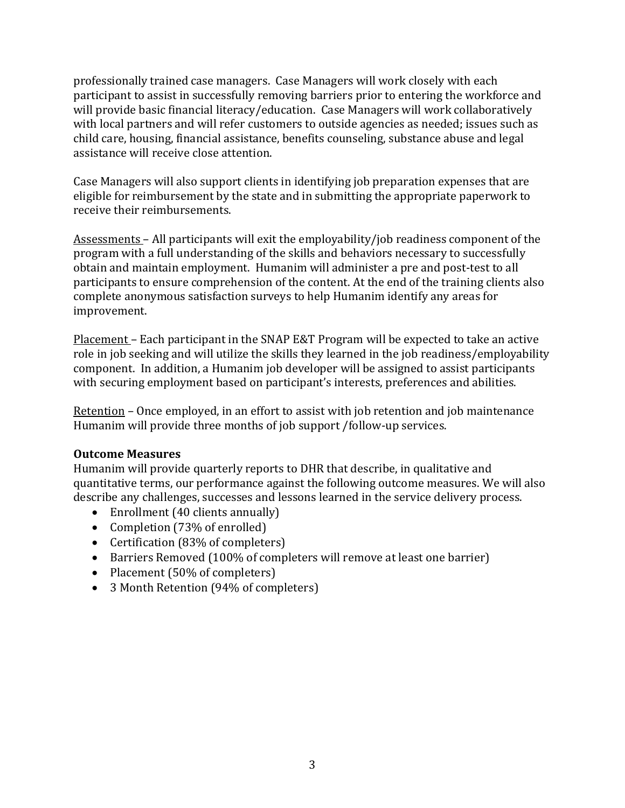professionally trained case managers. Case Managers will work closely with each participant to assist in successfully removing barriers prior to entering the workforce and will provide basic financial literacy/education. Case Managers will work collaboratively with local partners and will refer customers to outside agencies as needed; issues such as child care, housing, financial assistance, benefits counseling, substance abuse and legal assistance will receive close attention.

Case Managers will also support clients in identifying job preparation expenses that are eligible for reimbursement by the state and in submitting the appropriate paperwork to receive their reimbursements.

Assessments – All participants will exit the employability/job readiness component of the program with a full understanding of the skills and behaviors necessary to successfully obtain and maintain employment. Humanim will administer a pre and post-test to all participants to ensure comprehension of the content. At the end of the training clients also complete anonymous satisfaction surveys to help Humanim identify any areas for improvement.

Placement – Each participant in the SNAP E&T Program will be expected to take an active role in job seeking and will utilize the skills they learned in the job readiness/employability component. In addition, a Humanim job developer will be assigned to assist participants with securing employment based on participant's interests, preferences and abilities.

Retention – Once employed, in an effort to assist with job retention and job maintenance Humanim will provide three months of job support /follow-up services.

#### **Outcome Measures**

Humanim will provide quarterly reports to DHR that describe, in qualitative and quantitative terms, our performance against the following outcome measures. We will also describe any challenges, successes and lessons learned in the service delivery process.

- Enrollment (40 clients annually)
- Completion (73% of enrolled)
- Certification (83% of completers)
- Barriers Removed (100% of completers will remove at least one barrier)
- Placement (50% of completers)
- 3 Month Retention (94% of completers)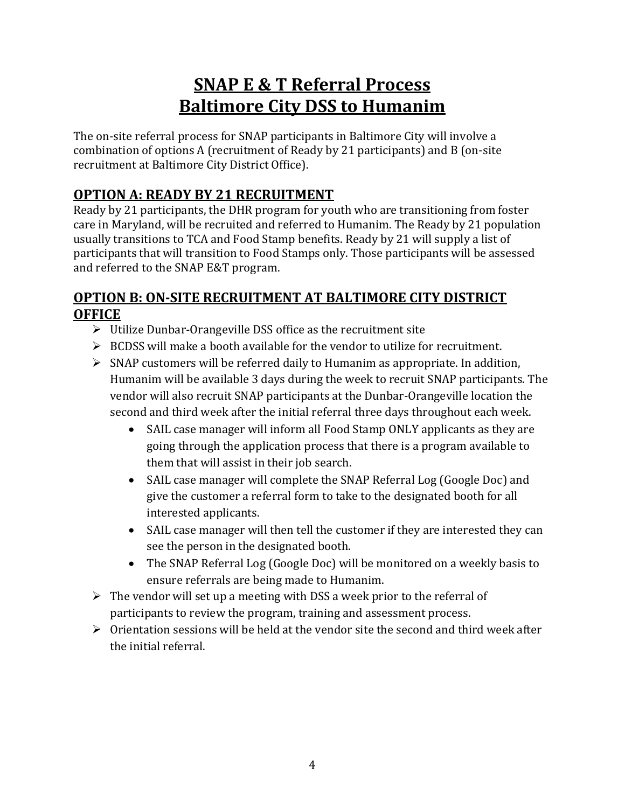# **SNAP E & T Referral Process Baltimore City DSS to Humanim**

The on-site referral process for SNAP participants in Baltimore City will involve a combination of options A (recruitment of Ready by 21 participants) and B (on-site recruitment at Baltimore City District Office).

# **OPTION A: READY BY 21 RECRUITMENT**

Ready by 21 participants, the DHR program for youth who are transitioning from foster care in Maryland, will be recruited and referred to Humanim. The Ready by 21 population usually transitions to TCA and Food Stamp benefits. Ready by 21 will supply a list of participants that will transition to Food Stamps only. Those participants will be assessed and referred to the SNAP E&T program.

# **OPTION B: ON-SITE RECRUITMENT AT BALTIMORE CITY DISTRICT OFFICE**

- $\triangleright$  Utilize Dunbar-Orangeville DSS office as the recruitment site
- $\triangleright$  BCDSS will make a booth available for the vendor to utilize for recruitment.
- $\triangleright$  SNAP customers will be referred daily to Humanim as appropriate. In addition, Humanim will be available 3 days during the week to recruit SNAP participants. The vendor will also recruit SNAP participants at the Dunbar-Orangeville location the second and third week after the initial referral three days throughout each week.
	- SAIL case manager will inform all Food Stamp ONLY applicants as they are going through the application process that there is a program available to them that will assist in their job search.
	- SAIL case manager will complete the SNAP Referral Log (Google Doc) and give the customer a referral form to take to the designated booth for all interested applicants.
	- SAIL case manager will then tell the customer if they are interested they can see the person in the designated booth.
	- The SNAP Referral Log (Google Doc) will be monitored on a weekly basis to ensure referrals are being made to Humanim.
- $\triangleright$  The vendor will set up a meeting with DSS a week prior to the referral of participants to review the program, training and assessment process.
- $\triangleright$  Orientation sessions will be held at the vendor site the second and third week after the initial referral.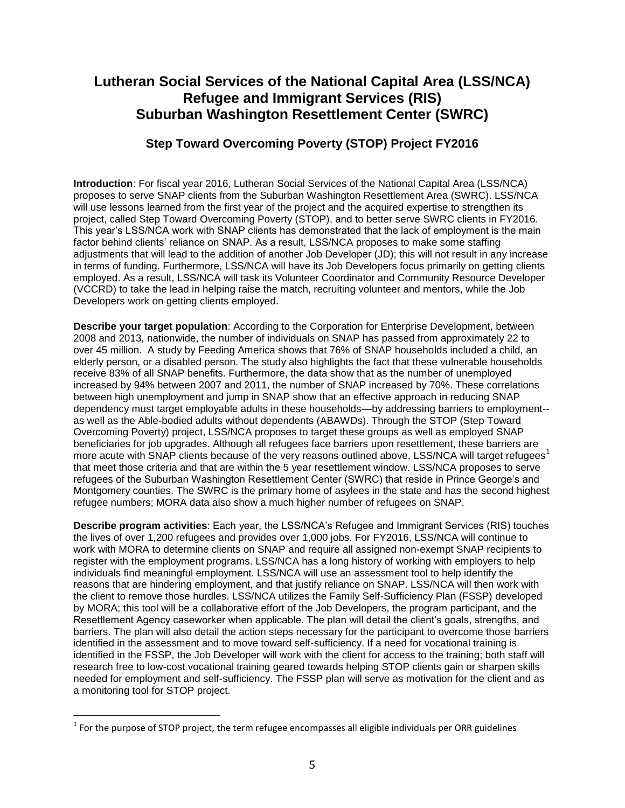# **Lutheran Social Services of the National Capital Area (LSS/NCA) Refugee and Immigrant Services (RIS) Suburban Washington Resettlement Center (SWRC)**

## **Step Toward Overcoming Poverty (STOP) Project FY2016**

**Introduction**: For fiscal year 2016, Lutheran Social Services of the National Capital Area (LSS/NCA) proposes to serve SNAP clients from the Suburban Washington Resettlement Area (SWRC). LSS/NCA will use lessons learned from the first year of the project and the acquired expertise to strengthen its project, called Step Toward Overcoming Poverty (STOP), and to better serve SWRC clients in FY2016. This year's LSS/NCA work with SNAP clients has demonstrated that the lack of employment is the main factor behind clients' reliance on SNAP. As a result, LSS/NCA proposes to make some staffing adjustments that will lead to the addition of another Job Developer (JD); this will not result in any increase in terms of funding. Furthermore, LSS/NCA will have its Job Developers focus primarily on getting clients employed. As a result, LSS/NCA will task its Volunteer Coordinator and Community Resource Developer (VCCRD) to take the lead in helping raise the match, recruiting volunteer and mentors, while the Job Developers work on getting clients employed.

**Describe your target population**: According to the Corporation for Enterprise Development, between 2008 and 2013, nationwide, the number of individuals on SNAP has passed from approximately 22 to over 45 million. A study by Feeding America shows that 76% of SNAP households included a child, an elderly person, or a disabled person. The study also highlights the fact that these vulnerable households receive 83% of all SNAP benefits. Furthermore, the data show that as the number of unemployed increased by 94% between 2007 and 2011, the number of SNAP increased by 70%. These correlations between high unemployment and jump in SNAP show that an effective approach in reducing SNAP dependency must target employable adults in these households—by addressing barriers to employment- as well as the Able-bodied adults without dependents (ABAWDs). Through the STOP (Step Toward Overcoming Poverty) project, LSS/NCA proposes to target these groups as well as employed SNAP beneficiaries for job upgrades. Although all refugees face barriers upon resettlement, these barriers are more acute with SNAP clients because of the very reasons outlined above. LSS/NCA will target refugees<sup>1</sup> that meet those criteria and that are within the 5 year resettlement window. LSS/NCA proposes to serve refugees of the Suburban Washington Resettlement Center (SWRC) that reside in Prince George's and Montgomery counties. The SWRC is the primary home of asylees in the state and has the second highest refugee numbers; MORA data also show a much higher number of refugees on SNAP.

**Describe program activities**: Each year, the LSS/NCA's Refugee and Immigrant Services (RIS) touches the lives of over 1,200 refugees and provides over 1,000 jobs. For FY2016, LSS/NCA will continue to work with MORA to determine clients on SNAP and require all assigned non-exempt SNAP recipients to register with the employment programs. LSS/NCA has a long history of working with employers to help individuals find meaningful employment. LSS/NCA will use an assessment tool to help identify the reasons that are hindering employment, and that justify reliance on SNAP. LSS/NCA will then work with the client to remove those hurdles. LSS/NCA utilizes the Family Self-Sufficiency Plan (FSSP) developed by MORA; this tool will be a collaborative effort of the Job Developers, the program participant, and the Resettlement Agency caseworker when applicable. The plan will detail the client's goals, strengths, and barriers. The plan will also detail the action steps necessary for the participant to overcome those barriers identified in the assessment and to move toward self-sufficiency. If a need for vocational training is identified in the FSSP, the Job Developer will work with the client for access to the training; both staff will research free to low-cost vocational training geared towards helping STOP clients gain or sharpen skills needed for employment and self-sufficiency. The FSSP plan will serve as motivation for the client and as a monitoring tool for STOP project.

 $\overline{\phantom{a}}$ 

 $<sup>1</sup>$  For the purpose of STOP project, the term refugee encompasses all eligible individuals per ORR guidelines</sup>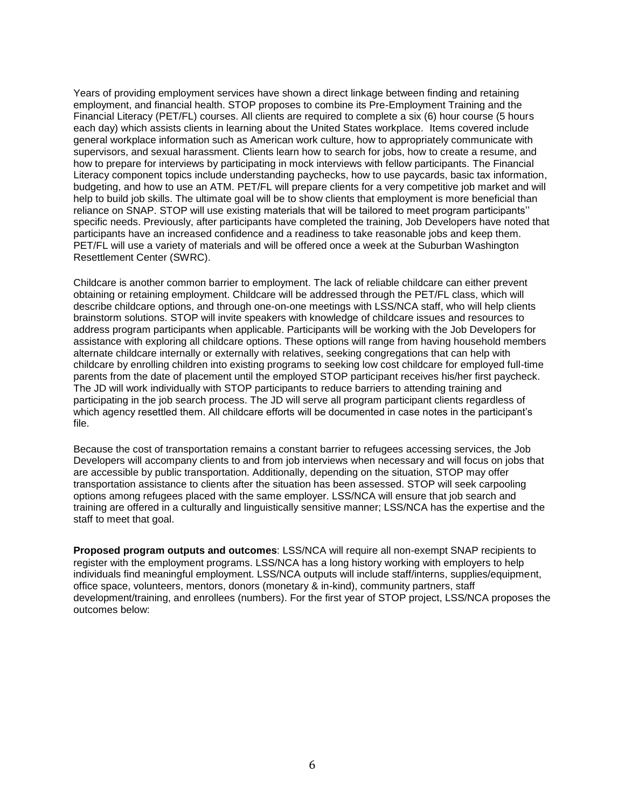Years of providing employment services have shown a direct linkage between finding and retaining employment, and financial health. STOP proposes to combine its Pre-Employment Training and the Financial Literacy (PET/FL) courses. All clients are required to complete a six (6) hour course (5 hours each day) which assists clients in learning about the United States workplace. Items covered include general workplace information such as American work culture, how to appropriately communicate with supervisors, and sexual harassment. Clients learn how to search for jobs, how to create a resume, and how to prepare for interviews by participating in mock interviews with fellow participants. The Financial Literacy component topics include understanding paychecks, how to use paycards, basic tax information, budgeting, and how to use an ATM. PET/FL will prepare clients for a very competitive job market and will help to build job skills. The ultimate goal will be to show clients that employment is more beneficial than reliance on SNAP. STOP will use existing materials that will be tailored to meet program participants'' specific needs. Previously, after participants have completed the training, Job Developers have noted that participants have an increased confidence and a readiness to take reasonable jobs and keep them. PET/FL will use a variety of materials and will be offered once a week at the Suburban Washington Resettlement Center (SWRC).

Childcare is another common barrier to employment. The lack of reliable childcare can either prevent obtaining or retaining employment. Childcare will be addressed through the PET/FL class, which will describe childcare options, and through one-on-one meetings with LSS/NCA staff, who will help clients brainstorm solutions. STOP will invite speakers with knowledge of childcare issues and resources to address program participants when applicable. Participants will be working with the Job Developers for assistance with exploring all childcare options. These options will range from having household members alternate childcare internally or externally with relatives, seeking congregations that can help with childcare by enrolling children into existing programs to seeking low cost childcare for employed full-time parents from the date of placement until the employed STOP participant receives his/her first paycheck. The JD will work individually with STOP participants to reduce barriers to attending training and participating in the job search process. The JD will serve all program participant clients regardless of which agency resettled them. All childcare efforts will be documented in case notes in the participant's file.

Because the cost of transportation remains a constant barrier to refugees accessing services, the Job Developers will accompany clients to and from job interviews when necessary and will focus on jobs that are accessible by public transportation. Additionally, depending on the situation, STOP may offer transportation assistance to clients after the situation has been assessed. STOP will seek carpooling options among refugees placed with the same employer. LSS/NCA will ensure that job search and training are offered in a culturally and linguistically sensitive manner; LSS/NCA has the expertise and the staff to meet that goal.

**Proposed program outputs and outcomes**: LSS/NCA will require all non-exempt SNAP recipients to register with the employment programs. LSS/NCA has a long history working with employers to help individuals find meaningful employment. LSS/NCA outputs will include staff/interns, supplies/equipment, office space, volunteers, mentors, donors (monetary & in-kind), community partners, staff development/training, and enrollees (numbers). For the first year of STOP project, LSS/NCA proposes the outcomes below: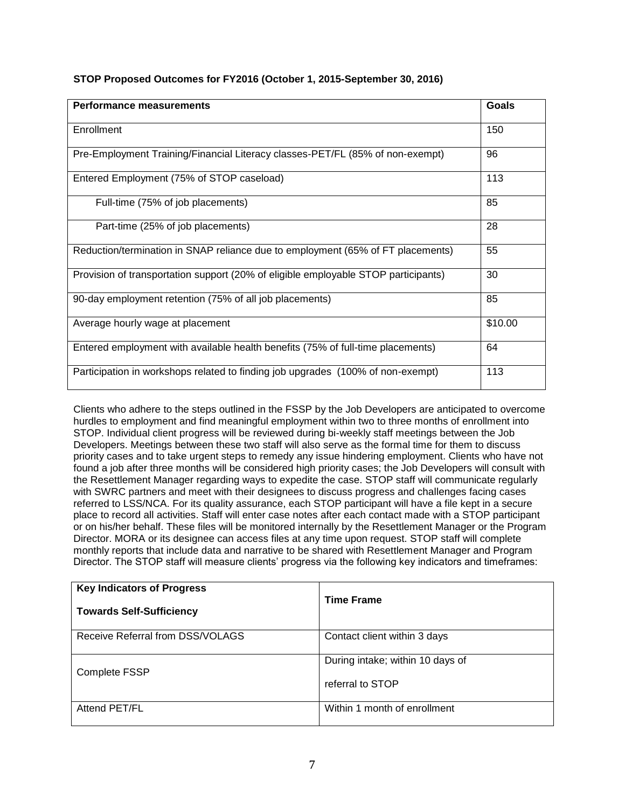| <b>Performance measurements</b>                                                    | Goals   |
|------------------------------------------------------------------------------------|---------|
| Enrollment                                                                         | 150     |
| Pre-Employment Training/Financial Literacy classes-PET/FL (85% of non-exempt)      | 96      |
| Entered Employment (75% of STOP caseload)                                          | 113     |
| Full-time (75% of job placements)                                                  | 85      |
| Part-time (25% of job placements)                                                  | 28      |
| Reduction/termination in SNAP reliance due to employment (65% of FT placements)    | 55      |
| Provision of transportation support (20% of eligible employable STOP participants) | 30      |
| 90-day employment retention (75% of all job placements)                            | 85      |
| Average hourly wage at placement                                                   | \$10.00 |
| Entered employment with available health benefits (75% of full-time placements)    | 64      |
| Participation in workshops related to finding job upgrades (100% of non-exempt)    | 113     |

#### **STOP Proposed Outcomes for FY2016 (October 1, 2015-September 30, 2016)**

Clients who adhere to the steps outlined in the FSSP by the Job Developers are anticipated to overcome hurdles to employment and find meaningful employment within two to three months of enrollment into STOP. Individual client progress will be reviewed during bi-weekly staff meetings between the Job Developers. Meetings between these two staff will also serve as the formal time for them to discuss priority cases and to take urgent steps to remedy any issue hindering employment. Clients who have not found a job after three months will be considered high priority cases; the Job Developers will consult with the Resettlement Manager regarding ways to expedite the case. STOP staff will communicate regularly with SWRC partners and meet with their designees to discuss progress and challenges facing cases referred to LSS/NCA. For its quality assurance, each STOP participant will have a file kept in a secure place to record all activities. Staff will enter case notes after each contact made with a STOP participant or on his/her behalf. These files will be monitored internally by the Resettlement Manager or the Program Director. MORA or its designee can access files at any time upon request. STOP staff will complete monthly reports that include data and narrative to be shared with Resettlement Manager and Program Director. The STOP staff will measure clients' progress via the following key indicators and timeframes:

| <b>Key Indicators of Progress</b><br><b>Towards Self-Sufficiency</b> | <b>Time Frame</b>                |
|----------------------------------------------------------------------|----------------------------------|
| Receive Referral from DSS/VOLAGS                                     | Contact client within 3 days     |
| Complete FSSP                                                        | During intake; within 10 days of |
|                                                                      | referral to STOP                 |
| Attend PET/FL                                                        | Within 1 month of enrollment     |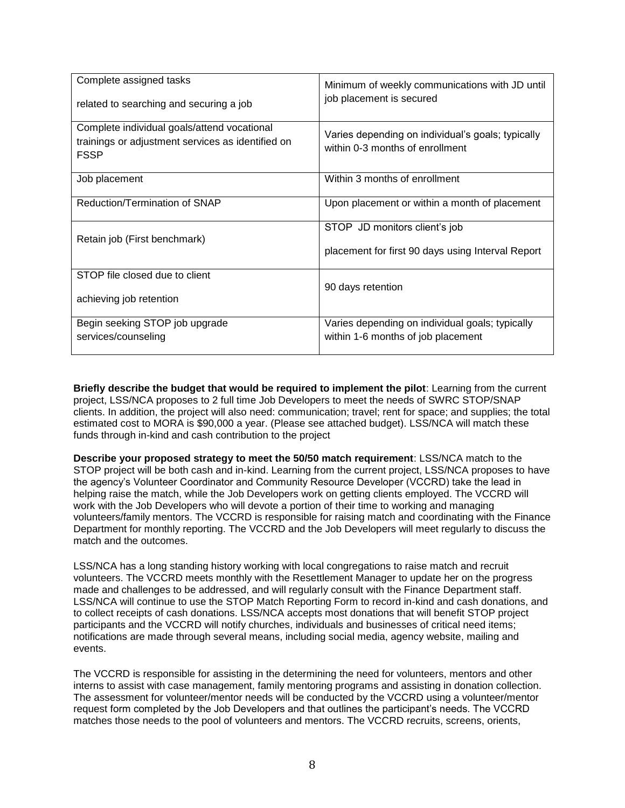| Complete assigned tasks<br>related to searching and securing a job                                              | Minimum of weekly communications with JD until<br>job placement is secured            |
|-----------------------------------------------------------------------------------------------------------------|---------------------------------------------------------------------------------------|
| Complete individual goals/attend vocational<br>trainings or adjustment services as identified on<br><b>FSSP</b> | Varies depending on individual's goals; typically<br>within 0-3 months of enrollment  |
| Job placement                                                                                                   | Within 3 months of enrollment                                                         |
| Reduction/Termination of SNAP                                                                                   | Upon placement or within a month of placement                                         |
| Retain job (First benchmark)                                                                                    | STOP JD monitors client's job<br>placement for first 90 days using Interval Report    |
| STOP file closed due to client<br>achieving job retention                                                       | 90 days retention                                                                     |
| Begin seeking STOP job upgrade<br>services/counseling                                                           | Varies depending on individual goals; typically<br>within 1-6 months of job placement |

**Briefly describe the budget that would be required to implement the pilot**: Learning from the current project, LSS/NCA proposes to 2 full time Job Developers to meet the needs of SWRC STOP/SNAP clients. In addition, the project will also need: communication; travel; rent for space; and supplies; the total estimated cost to MORA is \$90,000 a year. (Please see attached budget). LSS/NCA will match these funds through in-kind and cash contribution to the project

**Describe your proposed strategy to meet the 50/50 match requirement**: LSS/NCA match to the STOP project will be both cash and in-kind. Learning from the current project, LSS/NCA proposes to have the agency's Volunteer Coordinator and Community Resource Developer (VCCRD) take the lead in helping raise the match, while the Job Developers work on getting clients employed. The VCCRD will work with the Job Developers who will devote a portion of their time to working and managing volunteers/family mentors. The VCCRD is responsible for raising match and coordinating with the Finance Department for monthly reporting. The VCCRD and the Job Developers will meet regularly to discuss the match and the outcomes.

LSS/NCA has a long standing history working with local congregations to raise match and recruit volunteers. The VCCRD meets monthly with the Resettlement Manager to update her on the progress made and challenges to be addressed, and will regularly consult with the Finance Department staff. LSS/NCA will continue to use the STOP Match Reporting Form to record in-kind and cash donations, and to collect receipts of cash donations. LSS/NCA accepts most donations that will benefit STOP project participants and the VCCRD will notify churches, individuals and businesses of critical need items; notifications are made through several means, including social media, agency website, mailing and events.

The VCCRD is responsible for assisting in the determining the need for volunteers, mentors and other interns to assist with case management, family mentoring programs and assisting in donation collection. The assessment for volunteer/mentor needs will be conducted by the VCCRD using a volunteer/mentor request form completed by the Job Developers and that outlines the participant's needs. The VCCRD matches those needs to the pool of volunteers and mentors. The VCCRD recruits, screens, orients,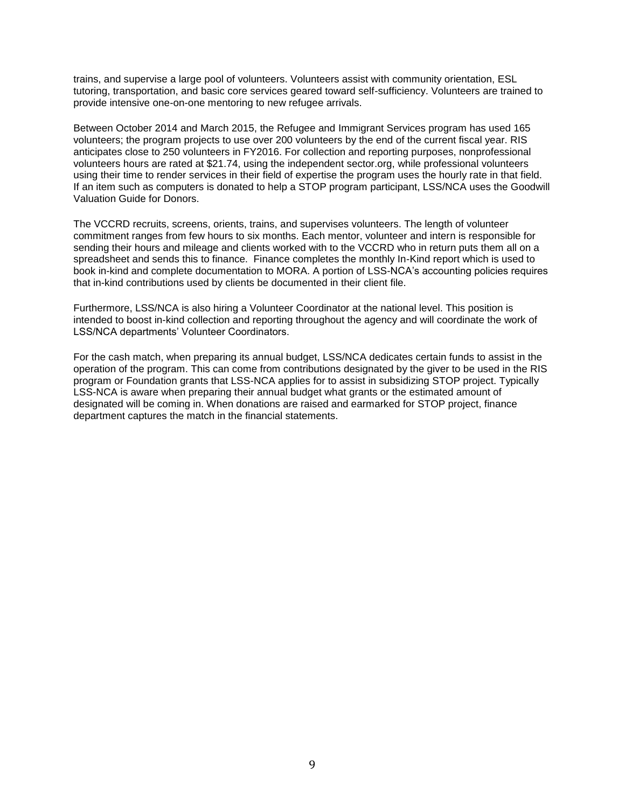trains, and supervise a large pool of volunteers. Volunteers assist with community orientation, ESL tutoring, transportation, and basic core services geared toward self-sufficiency. Volunteers are trained to provide intensive one-on-one mentoring to new refugee arrivals.

Between October 2014 and March 2015, the Refugee and Immigrant Services program has used 165 volunteers; the program projects to use over 200 volunteers by the end of the current fiscal year. RIS anticipates close to 250 volunteers in FY2016. For collection and reporting purposes, nonprofessional volunteers hours are rated at \$21.74, using the independent sector.org, while professional volunteers using their time to render services in their field of expertise the program uses the hourly rate in that field. If an item such as computers is donated to help a STOP program participant, LSS/NCA uses the Goodwill Valuation Guide for Donors.

The VCCRD recruits, screens, orients, trains, and supervises volunteers. The length of volunteer commitment ranges from few hours to six months. Each mentor, volunteer and intern is responsible for sending their hours and mileage and clients worked with to the VCCRD who in return puts them all on a spreadsheet and sends this to finance. Finance completes the monthly In-Kind report which is used to book in-kind and complete documentation to MORA. A portion of LSS-NCA's accounting policies requires that in-kind contributions used by clients be documented in their client file.

Furthermore, LSS/NCA is also hiring a Volunteer Coordinator at the national level. This position is intended to boost in-kind collection and reporting throughout the agency and will coordinate the work of LSS/NCA departments' Volunteer Coordinators.

For the cash match, when preparing its annual budget, LSS/NCA dedicates certain funds to assist in the operation of the program. This can come from contributions designated by the giver to be used in the RIS program or Foundation grants that LSS-NCA applies for to assist in subsidizing STOP project. Typically LSS-NCA is aware when preparing their annual budget what grants or the estimated amount of designated will be coming in. When donations are raised and earmarked for STOP project, finance department captures the match in the financial statements.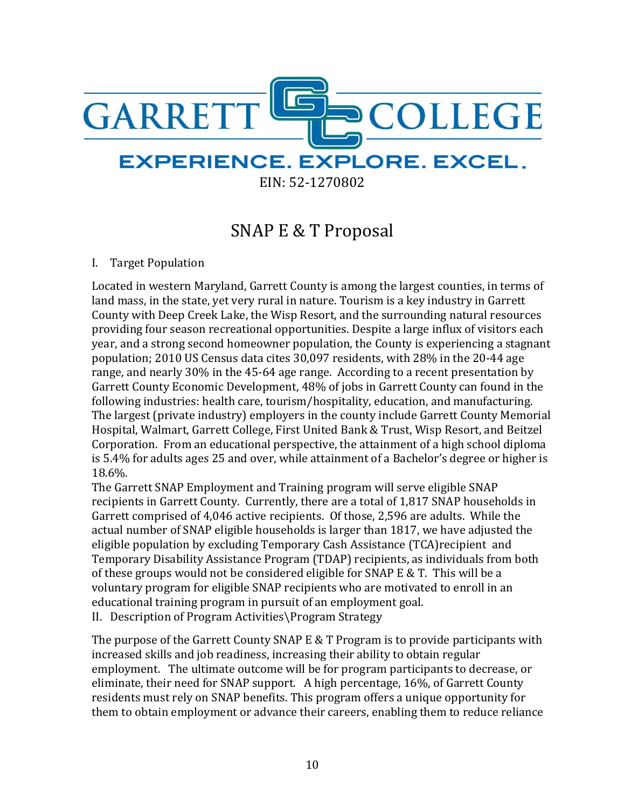

EIN: 52-1270802

# SNAP E & T Proposal

# I. Target Population

Located in western Maryland, Garrett County is among the largest counties, in terms of land mass, in the state, yet very rural in nature. Tourism is a key industry in Garrett County with Deep Creek Lake, the Wisp Resort, and the surrounding natural resources providing four season recreational opportunities. Despite a large influx of visitors each year, and a strong second homeowner population, the County is experiencing a stagnant population; 2010 US Census data cites 30,097 residents, with 28% in the 20-44 age range, and nearly 30% in the 45-64 age range. According to a recent presentation by Garrett County Economic Development, 48% of jobs in Garrett County can found in the following industries: health care, tourism/hospitality, education, and manufacturing. The largest (private industry) employers in the county include Garrett County Memorial Hospital, Walmart, Garrett College, First United Bank & Trust, Wisp Resort, and Beitzel Corporation. From an educational perspective, the attainment of a high school diploma is 5.4% for adults ages 25 and over, while attainment of a Bachelor's degree or higher is 18.6%.

The Garrett SNAP Employment and Training program will serve eligible SNAP recipients in Garrett County. Currently, there are a total of 1,817 SNAP households in Garrett comprised of 4,046 active recipients. Of those, 2,596 are adults. While the actual number of SNAP eligible households is larger than 1817, we have adjusted the eligible population by excluding Temporary Cash Assistance (TCA)recipient and Temporary Disability Assistance Program (TDAP) recipients, as individuals from both of these groups would not be considered eligible for SNAP E & T. This will be a voluntary program for eligible SNAP recipients who are motivated to enroll in an educational training program in pursuit of an employment goal.

II. Description of Program Activities\Program Strategy

The purpose of the Garrett County SNAP E & T Program is to provide participants with increased skills and job readiness, increasing their ability to obtain regular employment. The ultimate outcome will be for program participants to decrease, or eliminate, their need for SNAP support. A high percentage, 16%, of Garrett County residents must rely on SNAP benefits. This program offers a unique opportunity for them to obtain employment or advance their careers, enabling them to reduce reliance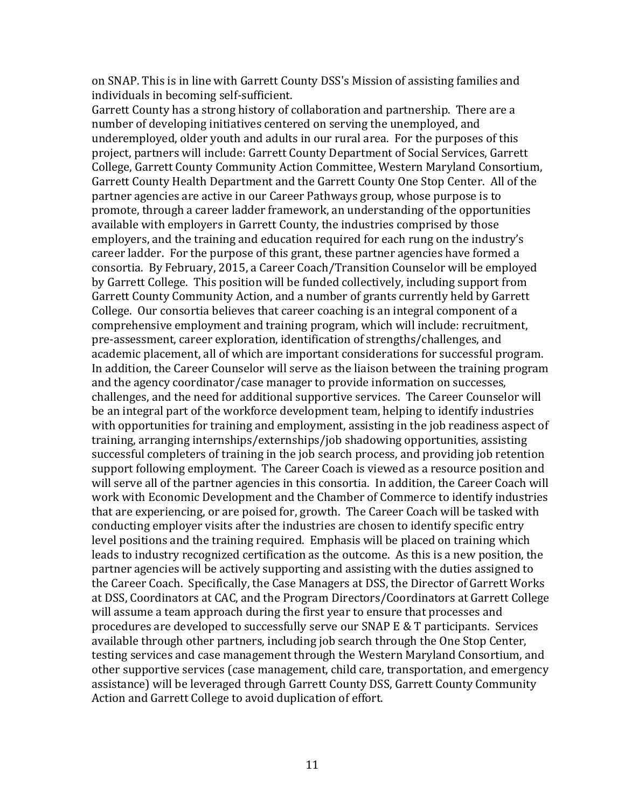on SNAP. This is in line with Garrett County DSS's Mission of assisting families and individuals in becoming self-sufficient.

Garrett County has a strong history of collaboration and partnership. There are a number of developing initiatives centered on serving the unemployed, and underemployed, older youth and adults in our rural area. For the purposes of this project, partners will include: Garrett County Department of Social Services, Garrett College, Garrett County Community Action Committee, Western Maryland Consortium, Garrett County Health Department and the Garrett County One Stop Center. All of the partner agencies are active in our Career Pathways group, whose purpose is to promote, through a career ladder framework, an understanding of the opportunities available with employers in Garrett County, the industries comprised by those employers, and the training and education required for each rung on the industry's career ladder. For the purpose of this grant, these partner agencies have formed a consortia. By February, 2015, a Career Coach/Transition Counselor will be employed by Garrett College. This position will be funded collectively, including support from Garrett County Community Action, and a number of grants currently held by Garrett College. Our consortia believes that career coaching is an integral component of a comprehensive employment and training program, which will include: recruitment, pre-assessment, career exploration, identification of strengths/challenges, and academic placement, all of which are important considerations for successful program. In addition, the Career Counselor will serve as the liaison between the training program and the agency coordinator/case manager to provide information on successes, challenges, and the need for additional supportive services. The Career Counselor will be an integral part of the workforce development team, helping to identify industries with opportunities for training and employment, assisting in the job readiness aspect of training, arranging internships/externships/job shadowing opportunities, assisting successful completers of training in the job search process, and providing job retention support following employment. The Career Coach is viewed as a resource position and will serve all of the partner agencies in this consortia. In addition, the Career Coach will work with Economic Development and the Chamber of Commerce to identify industries that are experiencing, or are poised for, growth. The Career Coach will be tasked with conducting employer visits after the industries are chosen to identify specific entry level positions and the training required. Emphasis will be placed on training which leads to industry recognized certification as the outcome. As this is a new position, the partner agencies will be actively supporting and assisting with the duties assigned to the Career Coach. Specifically, the Case Managers at DSS, the Director of Garrett Works at DSS, Coordinators at CAC, and the Program Directors/Coordinators at Garrett College will assume a team approach during the first year to ensure that processes and procedures are developed to successfully serve our SNAP E & T participants. Services available through other partners, including job search through the One Stop Center, testing services and case management through the Western Maryland Consortium, and other supportive services (case management, child care, transportation, and emergency assistance) will be leveraged through Garrett County DSS, Garrett County Community Action and Garrett College to avoid duplication of effort.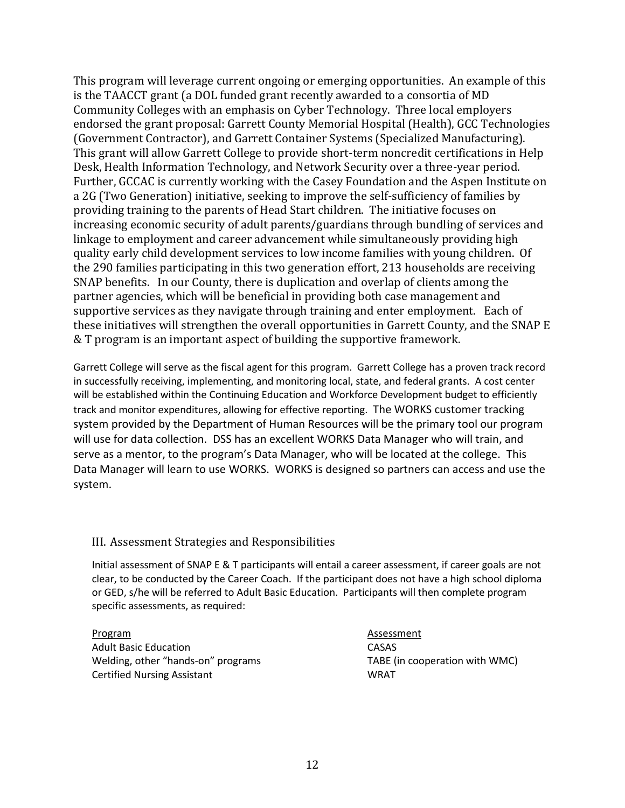This program will leverage current ongoing or emerging opportunities. An example of this is the TAACCT grant (a DOL funded grant recently awarded to a consortia of MD Community Colleges with an emphasis on Cyber Technology. Three local employers endorsed the grant proposal: Garrett County Memorial Hospital (Health), GCC Technologies (Government Contractor), and Garrett Container Systems (Specialized Manufacturing). This grant will allow Garrett College to provide short-term noncredit certifications in Help Desk, Health Information Technology, and Network Security over a three-year period. Further, GCCAC is currently working with the Casey Foundation and the Aspen Institute on a 2G (Two Generation) initiative, seeking to improve the self-sufficiency of families by providing training to the parents of Head Start children. The initiative focuses on increasing economic security of adult parents/guardians through bundling of services and linkage to employment and career advancement while simultaneously providing high quality early child development services to low income families with young children. Of the 290 families participating in this two generation effort, 213 households are receiving SNAP benefits. In our County, there is duplication and overlap of clients among the partner agencies, which will be beneficial in providing both case management and supportive services as they navigate through training and enter employment. Each of these initiatives will strengthen the overall opportunities in Garrett County, and the SNAP E & T program is an important aspect of building the supportive framework.

Garrett College will serve as the fiscal agent for this program. Garrett College has a proven track record in successfully receiving, implementing, and monitoring local, state, and federal grants. A cost center will be established within the Continuing Education and Workforce Development budget to efficiently track and monitor expenditures, allowing for effective reporting. The WORKS customer tracking system provided by the Department of Human Resources will be the primary tool our program will use for data collection. DSS has an excellent WORKS Data Manager who will train, and serve as a mentor, to the program's Data Manager, who will be located at the college. This Data Manager will learn to use WORKS. WORKS is designed so partners can access and use the system.

#### III. Assessment Strategies and Responsibilities

Initial assessment of SNAP E & T participants will entail a career assessment, if career goals are not clear, to be conducted by the Career Coach. If the participant does not have a high school diploma or GED, s/he will be referred to Adult Basic Education. Participants will then complete program specific assessments, as required:

Program **Assessment** Adult Basic Education **CASAS** Welding, other "hands-on" programs TABE (in cooperation with WMC) Certified Nursing Assistant WRAT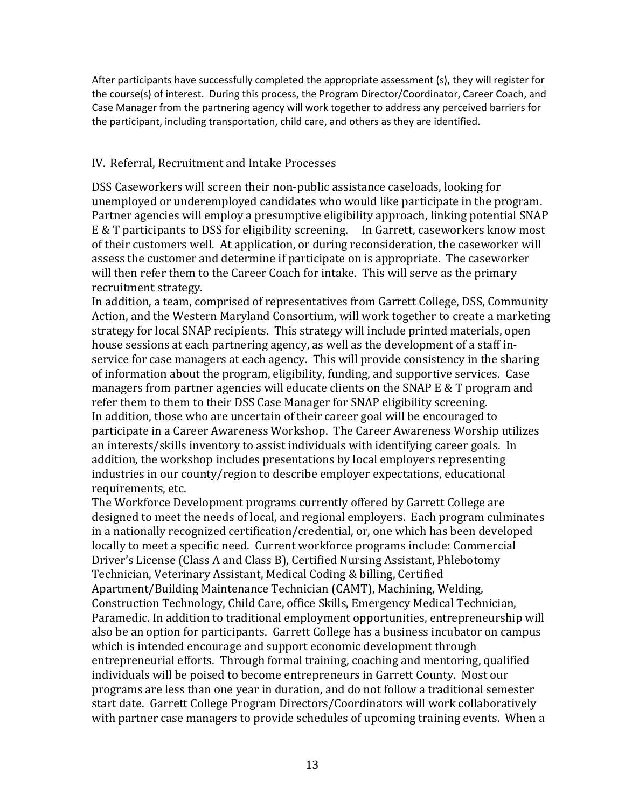After participants have successfully completed the appropriate assessment (s), they will register for the course(s) of interest. During this process, the Program Director/Coordinator, Career Coach, and Case Manager from the partnering agency will work together to address any perceived barriers for the participant, including transportation, child care, and others as they are identified.

#### IV. Referral, Recruitment and Intake Processes

DSS Caseworkers will screen their non-public assistance caseloads, looking for unemployed or underemployed candidates who would like participate in the program. Partner agencies will employ a presumptive eligibility approach, linking potential SNAP E & T participants to DSS for eligibility screening. In Garrett, caseworkers know most of their customers well. At application, or during reconsideration, the caseworker will assess the customer and determine if participate on is appropriate. The caseworker will then refer them to the Career Coach for intake. This will serve as the primary recruitment strategy.

In addition, a team, comprised of representatives from Garrett College, DSS, Community Action, and the Western Maryland Consortium, will work together to create a marketing strategy for local SNAP recipients. This strategy will include printed materials, open house sessions at each partnering agency, as well as the development of a staff inservice for case managers at each agency. This will provide consistency in the sharing of information about the program, eligibility, funding, and supportive services. Case managers from partner agencies will educate clients on the SNAP E & T program and refer them to them to their DSS Case Manager for SNAP eligibility screening. In addition, those who are uncertain of their career goal will be encouraged to participate in a Career Awareness Workshop. The Career Awareness Worship utilizes an interests/skills inventory to assist individuals with identifying career goals. In addition, the workshop includes presentations by local employers representing industries in our county/region to describe employer expectations, educational requirements, etc.

The Workforce Development programs currently offered by Garrett College are designed to meet the needs of local, and regional employers. Each program culminates in a nationally recognized certification/credential, or, one which has been developed locally to meet a specific need. Current workforce programs include: Commercial Driver's License (Class A and Class B), Certified Nursing Assistant, Phlebotomy Technician, Veterinary Assistant, Medical Coding & billing, Certified Apartment/Building Maintenance Technician (CAMT), Machining, Welding, Construction Technology, Child Care, office Skills, Emergency Medical Technician, Paramedic. In addition to traditional employment opportunities, entrepreneurship will also be an option for participants. Garrett College has a business incubator on campus which is intended encourage and support economic development through entrepreneurial efforts. Through formal training, coaching and mentoring, qualified individuals will be poised to become entrepreneurs in Garrett County. Most our programs are less than one year in duration, and do not follow a traditional semester start date. Garrett College Program Directors/Coordinators will work collaboratively with partner case managers to provide schedules of upcoming training events. When a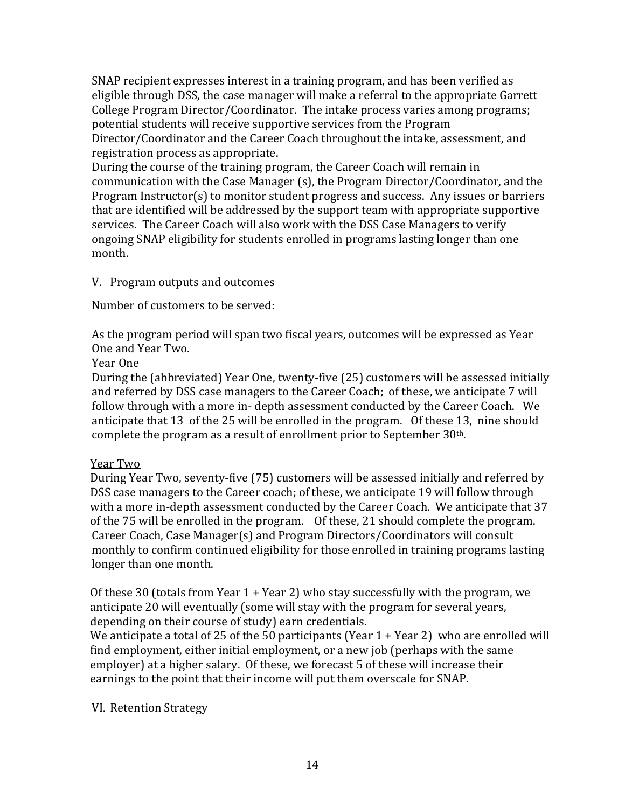SNAP recipient expresses interest in a training program, and has been verified as eligible through DSS, the case manager will make a referral to the appropriate Garrett College Program Director/Coordinator. The intake process varies among programs; potential students will receive supportive services from the Program Director/Coordinator and the Career Coach throughout the intake, assessment, and registration process as appropriate.

During the course of the training program, the Career Coach will remain in communication with the Case Manager (s), the Program Director/Coordinator, and the Program Instructor(s) to monitor student progress and success. Any issues or barriers that are identified will be addressed by the support team with appropriate supportive services. The Career Coach will also work with the DSS Case Managers to verify ongoing SNAP eligibility for students enrolled in programs lasting longer than one month.

#### V. Program outputs and outcomes

Number of customers to be served:

As the program period will span two fiscal years, outcomes will be expressed as Year One and Year Two.

#### Year One

During the (abbreviated) Year One, twenty-five (25) customers will be assessed initially and referred by DSS case managers to the Career Coach; of these, we anticipate 7 will follow through with a more in- depth assessment conducted by the Career Coach. We anticipate that 13 of the 25 will be enrolled in the program. Of these 13, nine should complete the program as a result of enrollment prior to September 30th.

#### Year Two

During Year Two, seventy-five (75) customers will be assessed initially and referred by DSS case managers to the Career coach; of these, we anticipate 19 will follow through with a more in-depth assessment conducted by the Career Coach. We anticipate that 37 of the 75 will be enrolled in the program. Of these, 21 should complete the program. Career Coach, Case Manager(s) and Program Directors/Coordinators will consult monthly to confirm continued eligibility for those enrolled in training programs lasting longer than one month.

Of these 30 (totals from Year 1 + Year 2) who stay successfully with the program, we anticipate 20 will eventually (some will stay with the program for several years, depending on their course of study) earn credentials.

We anticipate a total of 25 of the 50 participants (Year 1 + Year 2) who are enrolled will find employment, either initial employment, or a new job (perhaps with the same employer) at a higher salary. Of these, we forecast 5 of these will increase their earnings to the point that their income will put them overscale for SNAP.

# VI. Retention Strategy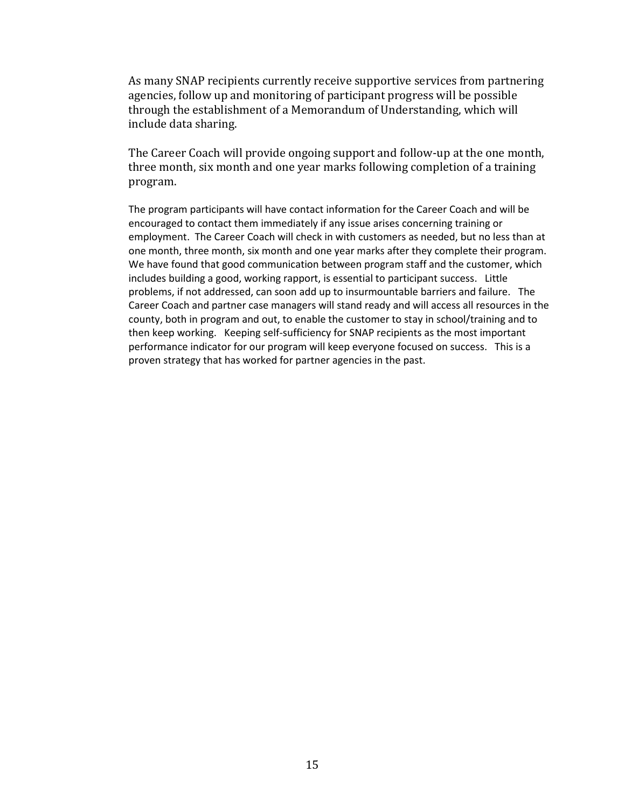As many SNAP recipients currently receive supportive services from partnering agencies, follow up and monitoring of participant progress will be possible through the establishment of a Memorandum of Understanding, which will include data sharing.

The Career Coach will provide ongoing support and follow-up at the one month, three month, six month and one year marks following completion of a training program.

The program participants will have contact information for the Career Coach and will be encouraged to contact them immediately if any issue arises concerning training or employment. The Career Coach will check in with customers as needed, but no less than at one month, three month, six month and one year marks after they complete their program. We have found that good communication between program staff and the customer, which includes building a good, working rapport, is essential to participant success. Little problems, if not addressed, can soon add up to insurmountable barriers and failure. The Career Coach and partner case managers will stand ready and will access all resources in the county, both in program and out, to enable the customer to stay in school/training and to then keep working. Keeping self-sufficiency for SNAP recipients as the most important performance indicator for our program will keep everyone focused on success. This is a proven strategy that has worked for partner agencies in the past.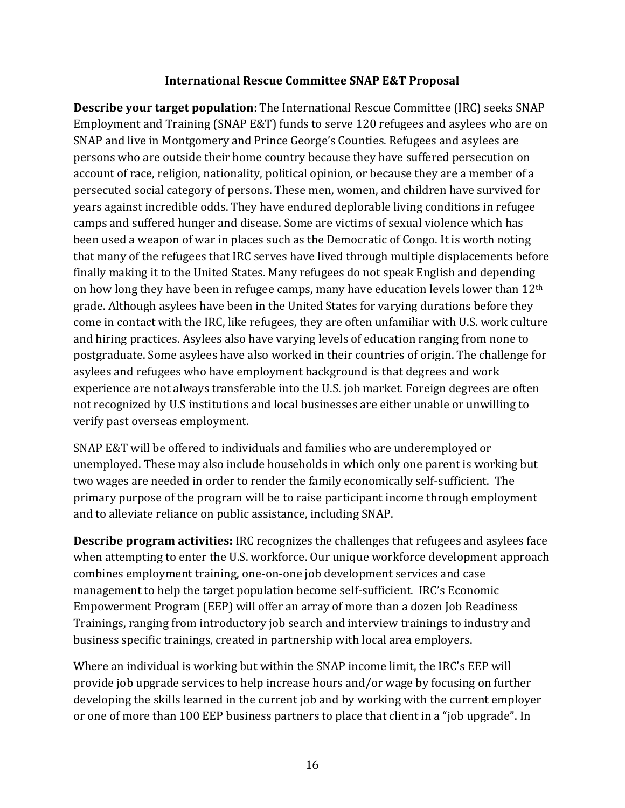#### **International Rescue Committee SNAP E&T Proposal**

**Describe your target population**: The International Rescue Committee (IRC) seeks SNAP Employment and Training (SNAP E&T) funds to serve 120 refugees and asylees who are on SNAP and live in Montgomery and Prince George's Counties. Refugees and asylees are persons who are outside their home country because they have suffered persecution on account of race, religion, nationality, political opinion, or because they are a member of a persecuted social category of persons. These men, women, and children have survived for years against incredible odds. They have endured deplorable living conditions in refugee camps and suffered hunger and disease. Some are victims of sexual violence which has been used a weapon of war in places such as the Democratic of Congo. It is worth noting that many of the refugees that IRC serves have lived through multiple displacements before finally making it to the United States. Many refugees do not speak English and depending on how long they have been in refugee camps, many have education levels lower than 12th grade. Although asylees have been in the United States for varying durations before they come in contact with the IRC, like refugees, they are often unfamiliar with U.S. work culture and hiring practices. Asylees also have varying levels of education ranging from none to postgraduate. Some asylees have also worked in their countries of origin. The challenge for asylees and refugees who have employment background is that degrees and work experience are not always transferable into the U.S. job market. Foreign degrees are often not recognized by U.S institutions and local businesses are either unable or unwilling to verify past overseas employment.

SNAP E&T will be offered to individuals and families who are underemployed or unemployed. These may also include households in which only one parent is working but two wages are needed in order to render the family economically self-sufficient. The primary purpose of the program will be to raise participant income through employment and to alleviate reliance on public assistance, including SNAP.

**Describe program activities:** IRC recognizes the challenges that refugees and asylees face when attempting to enter the U.S. workforce. Our unique workforce development approach combines employment training, one-on-one job development services and case management to help the target population become self-sufficient. IRC's Economic Empowerment Program (EEP) will offer an array of more than a dozen Job Readiness Trainings, ranging from introductory job search and interview trainings to industry and business specific trainings, created in partnership with local area employers.

Where an individual is working but within the SNAP income limit, the IRC's EEP will provide job upgrade services to help increase hours and/or wage by focusing on further developing the skills learned in the current job and by working with the current employer or one of more than 100 EEP business partners to place that client in a "job upgrade". In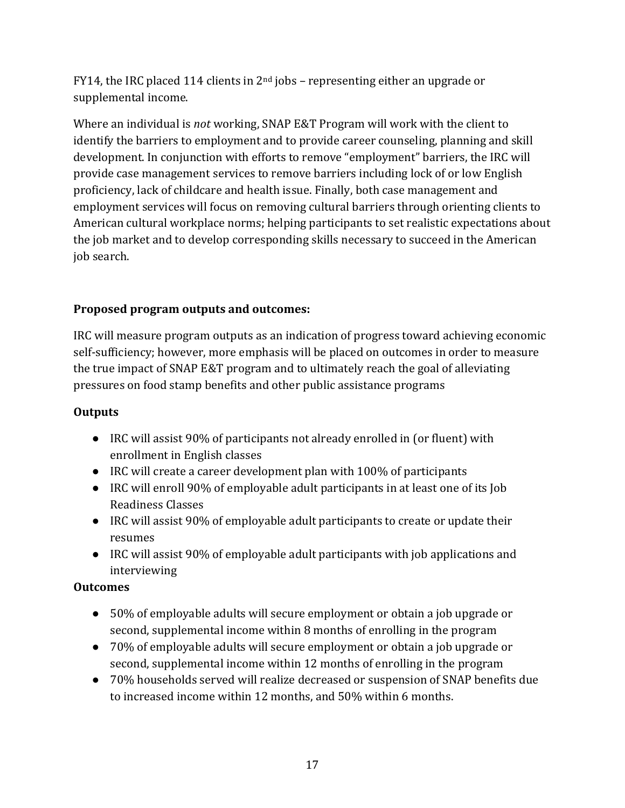FY14, the IRC placed 114 clients in  $2<sup>nd</sup>$  jobs – representing either an upgrade or supplemental income.

Where an individual is *not* working, SNAP E&T Program will work with the client to identify the barriers to employment and to provide career counseling, planning and skill development. In conjunction with efforts to remove "employment" barriers, the IRC will provide case management services to remove barriers including lock of or low English proficiency, lack of childcare and health issue. Finally, both case management and employment services will focus on removing cultural barriers through orienting clients to American cultural workplace norms; helping participants to set realistic expectations about the job market and to develop corresponding skills necessary to succeed in the American job search.

# **Proposed program outputs and outcomes:**

IRC will measure program outputs as an indication of progress toward achieving economic self-sufficiency; however, more emphasis will be placed on outcomes in order to measure the true impact of SNAP E&T program and to ultimately reach the goal of alleviating pressures on food stamp benefits and other public assistance programs

# **Outputs**

- IRC will assist 90% of participants not already enrolled in (or fluent) with enrollment in English classes
- IRC will create a career development plan with 100% of participants
- IRC will enroll 90% of employable adult participants in at least one of its Job Readiness Classes
- IRC will assist 90% of employable adult participants to create or update their resumes
- IRC will assist 90% of employable adult participants with job applications and interviewing

# **Outcomes**

- 50% of employable adults will secure employment or obtain a job upgrade or second, supplemental income within 8 months of enrolling in the program
- 70% of employable adults will secure employment or obtain a job upgrade or second, supplemental income within 12 months of enrolling in the program
- 70% households served will realize decreased or suspension of SNAP benefits due to increased income within 12 months, and 50% within 6 months.